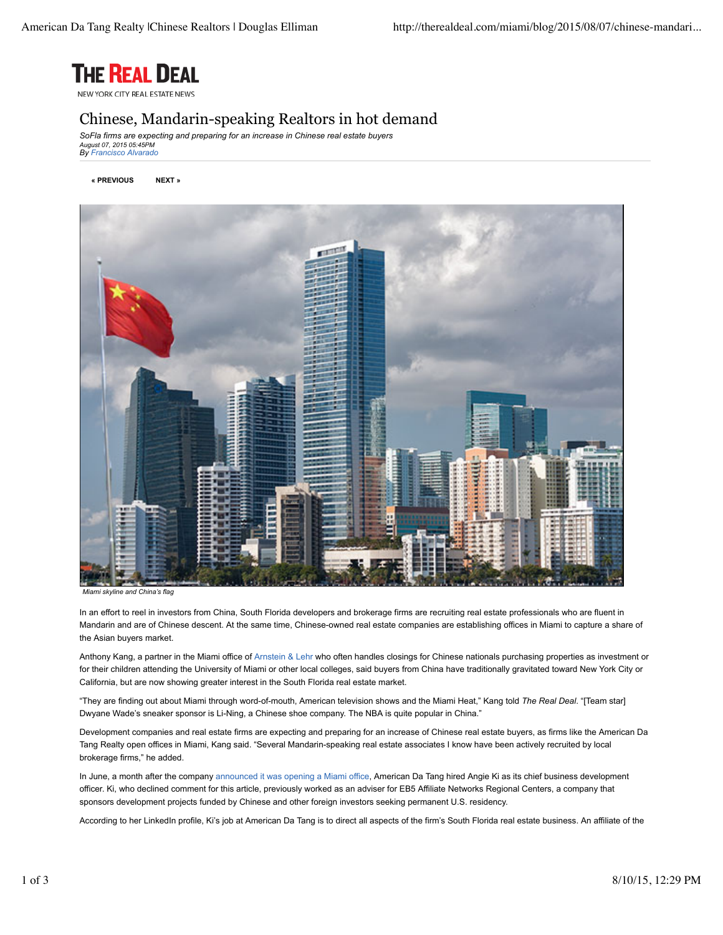

NEW YORK CITY REAL ESTATE NEWS

## Chinese, Mandarin-speaking Realtors in hot demand

*SoFla firms are expecting and preparing for an increase in Chinese real estate buyers August 07, 2015 05:45PM By Francisco Alvarado*

**« PREVIOUS NEXT »**



*Miami skyline and China's flag*

In an effort to reel in investors from China, South Florida developers and brokerage firms are recruiting real estate professionals who are fluent in Mandarin and are of Chinese descent. At the same time, Chinese-owned real estate companies are establishing offices in Miami to capture a share of the Asian buyers market.

Anthony Kang, a partner in the Miami office of Arnstein & Lehr who often handles closings for Chinese nationals purchasing properties as investment or for their children attending the University of Miami or other local colleges, said buyers from China have traditionally gravitated toward New York City or California, but are now showing greater interest in the South Florida real estate market.

"They are finding out about Miami through word-of-mouth, American television shows and the Miami Heat," Kang told *The Real Deal*. "[Team star] Dwyane Wade's sneaker sponsor is Li-Ning, a Chinese shoe company. The NBA is quite popular in China."

Development companies and real estate firms are expecting and preparing for an increase of Chinese real estate buyers, as firms like the American Da Tang Realty open offices in Miami, Kang said. "Several Mandarin-speaking real estate associates I know have been actively recruited by local brokerage firms," he added.

In June, a month after the company announced it was opening a Miami office, American Da Tang hired Angie Ki as its chief business development officer. Ki, who declined comment for this article, previously worked as an adviser for EB5 Affiliate Networks Regional Centers, a company that sponsors development projects funded by Chinese and other foreign investors seeking permanent U.S. residency.

According to her LinkedIn profile, Ki's job at American Da Tang is to direct all aspects of the firm's South Florida real estate business. An affiliate of the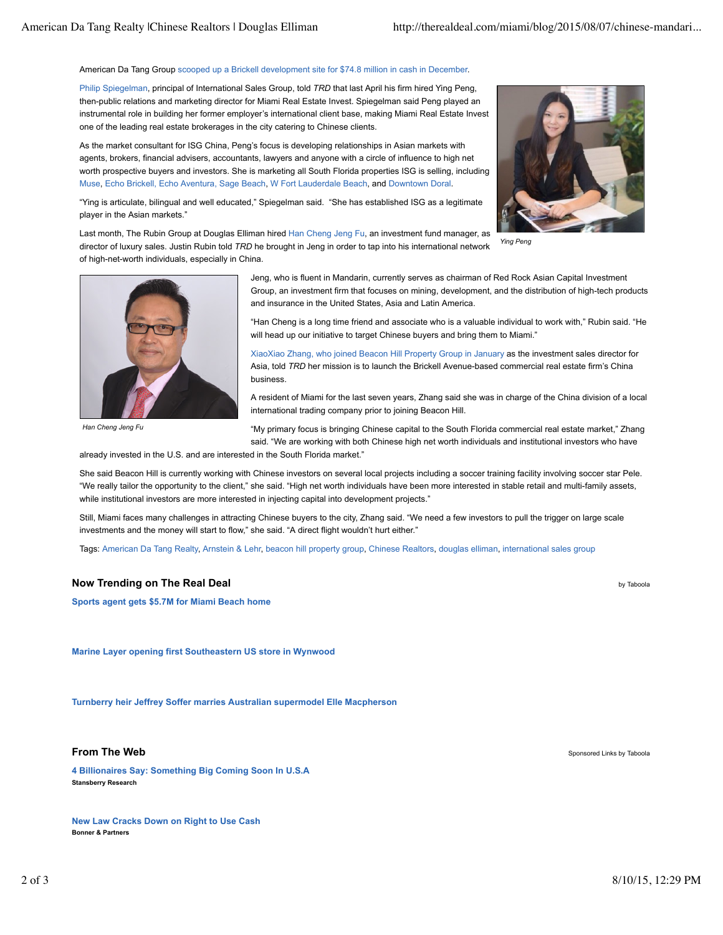## American Da Tang Group scooped up a Brickell development site for \$74.8 million in cash in December.

Philip Spiegelman, principal of International Sales Group, told *TRD* that last April his firm hired Ying Peng, then-public relations and marketing director for Miami Real Estate Invest. Spiegelman said Peng played an instrumental role in building her former employer's international client base, making Miami Real Estate Invest one of the leading real estate brokerages in the city catering to Chinese clients.

As the market consultant for ISG China, Peng's focus is developing relationships in Asian markets with agents, brokers, financial advisers, accountants, lawyers and anyone with a circle of influence to high net worth prospective buyers and investors. She is marketing all South Florida properties ISG is selling, including Muse, Echo Brickell, Echo Aventura, Sage Beach, W Fort Lauderdale Beach, and Downtown Doral.



"Ying is articulate, bilingual and well educated," Spiegelman said. "She has established ISG as a legitimate player in the Asian markets."

*Ying Peng* Last month, The Rubin Group at Douglas Elliman hired Han Cheng Jeng Fu, an investment fund manager, as director of luxury sales. Justin Rubin told *TRD* he brought in Jeng in order to tap into his international network of high-net-worth individuals, especially in China.



*Han Cheng Jeng Fu*

Jeng, who is fluent in Mandarin, currently serves as chairman of Red Rock Asian Capital Investment Group, an investment firm that focuses on mining, development, and the distribution of high-tech products and insurance in the United States, Asia and Latin America.

"Han Cheng is a long time friend and associate who is a valuable individual to work with," Rubin said. "He will head up our initiative to target Chinese buyers and bring them to Miami."

XiaoXiao Zhang, who joined Beacon Hill Property Group in January as the investment sales director for Asia, told *TRD* her mission is to launch the Brickell Avenue-based commercial real estate firm's China business.

A resident of Miami for the last seven years, Zhang said she was in charge of the China division of a local international trading company prior to joining Beacon Hill.

"My primary focus is bringing Chinese capital to the South Florida commercial real estate market," Zhang said. "We are working with both Chinese high net worth individuals and institutional investors who have

already invested in the U.S. and are interested in the South Florida market."

She said Beacon Hill is currently working with Chinese investors on several local projects including a soccer training facility involving soccer star Pele. "We really tailor the opportunity to the client," she said. "High net worth individuals have been more interested in stable retail and multi-family assets, while institutional investors are more interested in injecting capital into development projects."

Still, Miami faces many challenges in attracting Chinese buyers to the city, Zhang said. "We need a few investors to pull the trigger on large scale investments and the money will start to flow," she said. "A direct flight wouldn't hurt either."

Tags: American Da Tang Realty, Arnstein & Lehr, beacon hill property group, Chinese Realtors, douglas elliman, international sales group

## **Now Trending on The Real Deal** by Taboola **by Taboola and The Real Deal by Taboola** by Taboola

**Sports agent gets \$5.7M for Miami Beach home**

**Marine Layer opening first Southeastern US store in Wynwood**

**Turnberry heir Jeffrey Soffer marries Australian supermodel Elle Macpherson**

## **From The Web** Sponsored Links by Taboola

**4 Billionaires Say: Something Big Coming Soon In U.S.A Stansberry Research**

**New Law Cracks Down on Right to Use Cash Bonner & Partners**